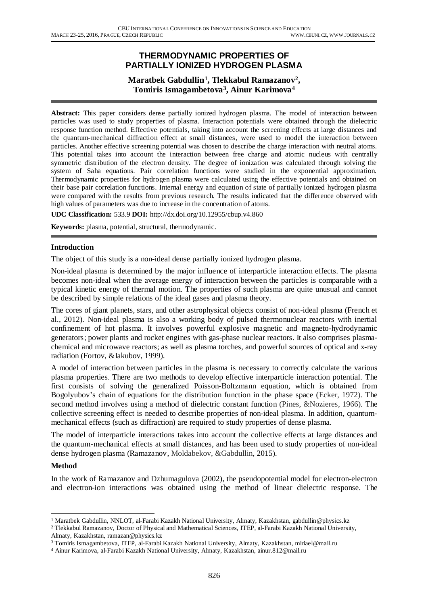# **THERMODYNAMIC PROPERTIES OF PARTIALLY IONIZED HYDROGEN PLASMA**

# **Maratbek Gabdullin<sup>1</sup> , Tlekkabul Ramazanov<sup>2</sup> , Tomiris Ismagambetova<sup>3</sup> , Ainur Karimova<sup>4</sup>**

**Abstract:** This paper considers dense partially ionized hydrogen plasma. The model of interaction between particles was used to study properties of plasma. Interaction potentials were obtained through the dielectric response function method. Effective potentials, taking into account the screening effects at large distances and the quantum-mechanical diffraction effect at small distances, were used to model the interaction between particles. Another effective screening potential was chosen to describe the charge interaction with neutral atoms. This potential takes into account the interaction between free charge and atomic nucleus with centrally symmetric distribution of the electron density. The degree of ionization was calculated through solving the system of Saha equations. Pair correlation functions were studied in the exponential approximation. Thermodynamic properties for hydrogen plasma were calculated using the effective potentials and obtained on their base pair correlation functions. Internal energy and equation of state of partially ionized hydrogen plasma were compared with the results from previous research. The results indicated that the difference observed with high values of parameters was due to increase in the concentration of atoms.

**UDC Classification:** 533.9 **DOI:** http://dx.doi.org/10.12955/cbup.v4.860

**Keywords:** plasma, potential, structural, thermodynamic.

### **Introduction**

The object of this study is a non-ideal dense partially ionized hydrogen plasma.

Non-ideal plasma is determined by the major influence of interparticle interaction effects. The plasma becomes non-ideal when the average energy of interaction between the particles is comparable with a typical kinetic energy of thermal motion. The properties of such plasma are quite unusual and cannot be described by simple relations of the ideal gases and plasma theory.

The cores of giant planets, stars, and other astrophysical objects consist of non-ideal plasma (French et al., 2012). Non-ideal plasma is also a working body of pulsed thermonuclear reactors with inertial confinement of hot plasma. It involves powerful explosive magnetic and magneto-hydrodynamic generators; power plants and rocket engines with gas-phase nuclear reactors. It also comprises plasmachemical and microwave reactors; as well as plasma torches, and powerful sources of optical and x-ray radiation (Fortov, &Iakubov, 1999).

A model of interaction between particles in the plasma is necessary to correctly calculate the various plasma properties. There are two methods to develop effective interparticle interaction potential. The first consists of solving the generalized Poisson-Boltzmann equation, which is obtained from Bogolyubov's chain of equations for the distribution function in the phase space (Ecker, 1972). The second method involves using a method of dielectric constant function (Pines, &Nozieres, 1966). The collective screening effect is needed to describe properties of non-ideal plasma. In addition, quantummechanical effects (such as diffraction) are required to study properties of dense plasma.

The model of interparticle interactions takes into account the collective effects at large distances and the quantum-mechanical effects at small distances, and has been used to study properties of non-ideal dense hydrogen plasma (Ramazanov, Moldabekov, &Gabdullin, 2015).

#### **Method**

 $\overline{a}$ 

In the work of Ramazanov and Dzhumagulova (2002), the pseudopotential model for electron-electron and electron-ion interactions was obtained using the method of linear dielectric response. The

<sup>1</sup> Maratbek Gabdullin, NNLOT, al-Farabi Kazakh National University, Almaty, Kazakhstan, gabdullin@physics.kz

<sup>2</sup> Tlekkabul Ramazanov, Doctor of Physical and Mathematical Sciences, ITEP, al-Farabi Kazakh National University, Almaty, Kazakhstan, ramazan@physics.kz

<sup>3</sup> Tomiris Ismagambetova, ITEP, al-Farabi Kazakh National University, Almaty, Kazakhstan, miriael@mail.ru

<sup>4</sup> Ainur Karimova, al-Farabi Kazakh National University, Almaty, Kazakhstan, ainur.812@mail.ru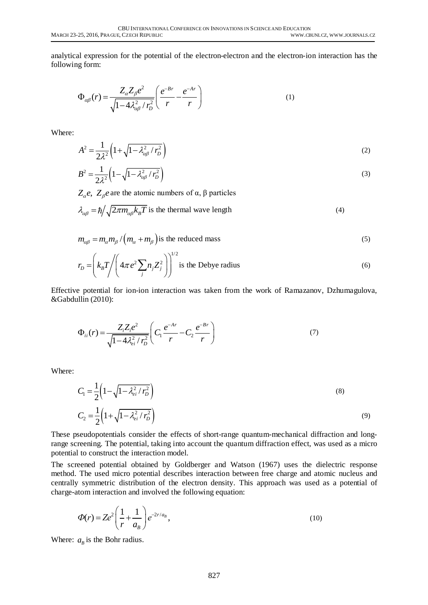analytical expression for the potential of the electron-electron and the electron-ion interaction has the following form:

$$
\Phi_{\alpha\beta}(r) = \frac{Z_{\alpha}Z_{\beta}e^2}{\sqrt{1 - 4\lambda_{\alpha\beta}^2 / r_D^2}} \left(\frac{e^{-Br}}{r} - \frac{e^{-Ar}}{r}\right)
$$
(1)

Where:

$$
A^2 = \frac{1}{2\lambda^2} \left( 1 + \sqrt{1 - \lambda_{\alpha\beta}^2 / r_D^2} \right) \tag{2}
$$

$$
B^{2} = \frac{1}{2\lambda^{2}} \left( 1 - \sqrt{1 - \lambda_{\alpha\beta}^{2} / r_{D}^{2}} \right)
$$
 (3)

 $Z_\alpha$ *e*,  $Z_\beta$ *e* are the atomic numbers of α, β particles

$$
\lambda_{\alpha\beta} = \hbar / \sqrt{2\pi m_{\alpha\beta} k_B T}
$$
 is the thermal wave length (4)

$$
m_{\alpha\beta} = m_{\alpha} m_{\beta} / (m_{\alpha} + m_{\beta})
$$
 is the reduced mass (5)

$$
r_D = \left(k_B T / \left(4\pi e^2 \sum_j n_j Z_j^2\right)\right)^{1/2}
$$
 is the Debye radius (6)

Effective potential for ion-ion interaction was taken from the work of Ramazanov, Dzhumagulova, &Gabdullin (2010):

$$
\Phi_{ii}(r) = \frac{Z_i Z_i e^2}{\sqrt{1 - 4\lambda_{ei}^2 / r_D^2}} \left( C_1 \frac{e^{-Ar}}{r} - C_2 \frac{e^{-Br}}{r} \right)
$$
\n(7)

Where:

$$
C_1 = \frac{1}{2} \left( 1 - \sqrt{1 - \lambda_{ei}^2 / r_D^2} \right)
$$
  
\n
$$
C_2 = \frac{1}{2} \left( 1 + \sqrt{1 - \lambda_{ei}^2 / r_D^2} \right)
$$
\n(8)

(9)

These pseudopotentials consider the effects of short-range quantum-mechanical diffraction and longrange screening. The potential, taking into account the quantum diffraction effect, was used as a micro potential to construct the interaction model.

The screened potential obtained by Goldberger and Watson (1967) uses the dielectric response method. The used micro potential describes interaction between free charge and atomic nucleus and centrally symmetric distribution of the electron density. This approach was used as a potential of charge-atom interaction and involved the following equation:

$$
\Phi(r) = Ze^2 \left( \frac{1}{r} + \frac{1}{a_B} \right) e^{-2r/a_B},\tag{10}
$$

Where:  $a_B$  is the Bohr radius.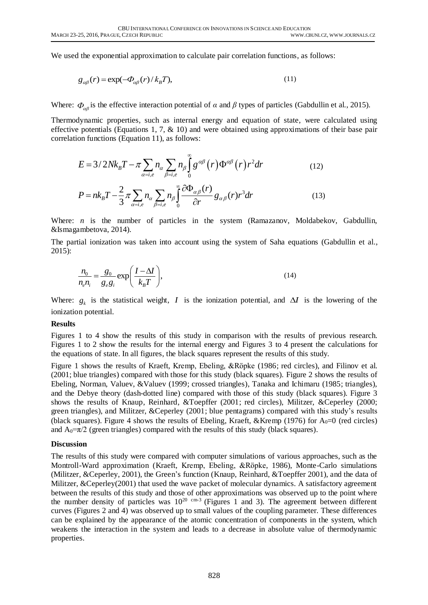We used the exponential approximation to calculate pair correlation functions, as follows:

$$
g_{\alpha\beta}(r) = \exp(-\Phi_{\alpha\beta}(r)/k_B T),
$$
\n(11)

Where:  $\Phi_{\alpha\beta}$  is the effective interaction potential of *α* and *β* types of particles (Gabdullin et al., 2015).

Thermodynamic properties, such as internal energy and equation of state, were calculated using effective potentials (Equations 1, 7, & 10) and were obtained using approximations of their base pair

$$
E = 3/2Nk_B T - \pi \sum_{\alpha=i,e} n_{\alpha} \sum_{\beta=i,e} n_{\beta} \int_0^{\infty} g^{\alpha\beta}(r) \Phi^{\alpha\beta}(r) r^2 dr
$$
\n
$$
P = nk_B T - \frac{2}{3} \pi \sum_{\alpha=i,e} n_{\alpha} \sum_{\beta=i,e} n_{\beta} \int_0^{\infty} \frac{\partial \Phi_{\alpha\beta}(r)}{\partial r} g_{\alpha\beta}(r) r^3 dr
$$
\n(12)

$$
P = nk_B T - \frac{2}{3} \pi \sum_{\alpha=i,e} n_{\alpha} \sum_{\beta=i,e} n_{\beta} \int_0^{\infty} \frac{\partial \Phi_{\alpha\beta}(r)}{\partial r} g_{\alpha\beta}(r) r^3 dr \qquad (13)
$$

Where: *n* is the number of particles in the system (Ramazanov, Moldabekov, Gabdullin, &Ismagambetova, 2014).

The partial ionization was taken into account using the system of Saha equations (Gabdullin et al., 2015):

$$
\frac{n_0}{n_e n_i} = \frac{g_0}{g_e g_i} \exp\left(\frac{I - \Delta I}{k_B T}\right),\tag{14}
$$

Where:  $g_k$  is the statistical weight, I is the ionization potential, and  $\Delta I$  is the lowering of the ionization potential.

#### **Results**

Figures 1 to 4 show the results of this study in comparison with the results of previous research. Figures 1 to 2 show the results for the internal energy and Figures 3 to 4 present the calculations for the equations of state. In all figures, the black squares represent the results of this study.

Figure 1 shows the results of Kraeft, Kremp, Ebeling, &Röpke (1986; red circles), and Filinov et al. (2001; blue triangles) compared with those for this study (black squares). Figure 2 shows the results of Ebeling, Norman, Valuev, &Valuev (1999; crossed triangles), Tanaka and Ichimaru (1985; triangles), and the Debye theory (dash-dotted line) compared with those of this study (black squares). Figure 3 shows the results of Knaup, Reinhard, &Toepffer (2001; red circles), Militzer, &Ceperley (2000; green triangles), and Militzer, &Ceperley (2001; blue pentagrams) compared with this study's results (black squares). Figure 4 shows the results of Ebeling, Kraeft, & Kremp (1976) for  $A_0=0$  (red circles) and  $A_0 = \pi/2$  (green triangles) compared with the results of this study (black squares).

#### **Discussion**

The results of this study were compared with computer simulations of various approaches, such as the Montroll-Ward approximation (Kraeft, Kremp, Ebeling, &Röpke, 1986), Monte-Carlo simulations (Militzer, &Ceperley, 2001), the Green's function (Knaup, Reinhard, &Toepffer 2001), and the data of Militzer, &Ceperley(2001) that used the wave packet of molecular dynamics. A satisfactory agreement between the results of this study and those of other approximations was observed up to the point where the number density of particles was  $10^{20 \text{ cm-3}}$  (Figures 1 and 3). The agreement between different curves (Figures 2 and 4) was observed up to small values of the coupling parameter. These differences can be explained by the appearance of the atomic concentration of components in the system, which weakens the interaction in the system and leads to a decrease in absolute value of thermodynamic properties.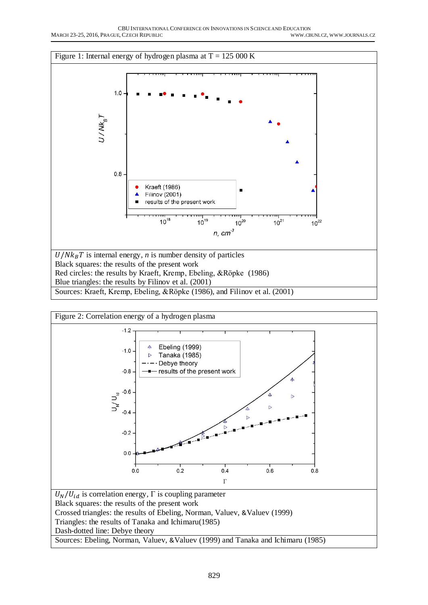

Blue triangles: the results by Filinov et al. (2001)



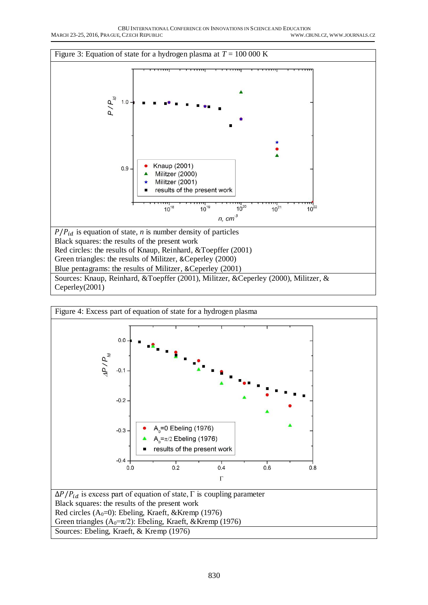